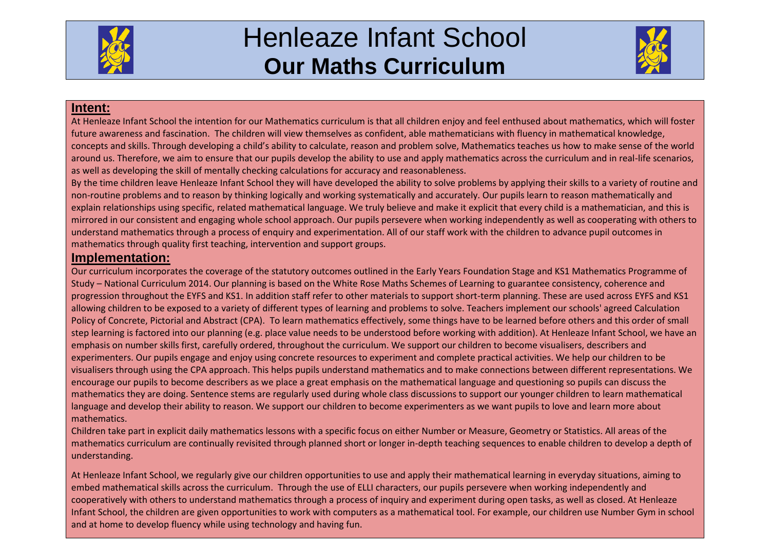

## Henleaze Infant School **Our Maths Curriculum**



## **Intent:**

At Henleaze Infant School the intention for our Mathematics curriculum is that all children enjoy and feel enthused about mathematics, which will foster future awareness and fascination. The children will view themselves as confident, able mathematicians with fluency in mathematical knowledge, concepts and skills. Through developing a child's ability to calculate, reason and problem solve, Mathematics teaches us how to make sense of the world around us. Therefore, we aim to ensure that our pupils develop the ability to use and apply mathematics across the curriculum and in real-life scenarios, as well as developing the skill of mentally checking calculations for accuracy and reasonableness.

By the time children leave Henleaze Infant School they will have developed the ability to solve problems by applying their skills to a variety of routine and non-routine problems and to reason by thinking logically and working systematically and accurately. Our pupils learn to reason mathematically and explain relationships using specific, related mathematical language. We truly believe and make it explicit that every child is a mathematician, and this is mirrored in our consistent and engaging whole school approach. Our pupils persevere when working independently as well as cooperating with others to understand mathematics through a process of enquiry and experimentation. All of our staff work with the children to advance pupil outcomes in mathematics through quality first teaching, intervention and support groups.

## **Implementation:**

Our curriculum incorporates the coverage of the statutory outcomes outlined in the Early Years Foundation Stage and KS1 Mathematics Programme of Study – National Curriculum 2014. Our planning is based on the White Rose Maths Schemes of Learning to guarantee consistency, coherence and progression throughout the EYFS and KS1. In addition staff refer to other materials to support short-term planning. These are used across EYFS and KS1 allowing children to be exposed to a variety of different types of learning and problems to solve. Teachers implement our schools' agreed Calculation Policy of Concrete, Pictorial and Abstract (CPA). To learn mathematics effectively, some things have to be learned before others and this order of small step learning is factored into our planning (e.g. place value needs to be understood before working with addition). At Henleaze Infant School, we have an emphasis on number skills first, carefully ordered, throughout the curriculum. We support our children to become visualisers, describers and experimenters. Our pupils engage and enjoy using concrete resources to experiment and complete practical activities. We help our children to be visualisers through using the CPA approach. This helps pupils understand mathematics and to make connections between different representations. We encourage our pupils to become describers as we place a great emphasis on the mathematical language and questioning so pupils can discuss the mathematics they are doing. Sentence stems are regularly used during whole class discussions to support our younger children to learn mathematical language and develop their ability to reason. We support our children to become experimenters as we want pupils to love and learn more about mathematics.

Children take part in explicit daily mathematics lessons with a specific focus on either Number or Measure, Geometry or Statistics. All areas of the mathematics curriculum are continually revisited through planned short or longer in-depth teaching sequences to enable children to develop a depth of understanding.

At Henleaze Infant School, we regularly give our children opportunities to use and apply their mathematical learning in everyday situations, aiming to embed mathematical skills across the curriculum. Through the use of ELLI characters, our pupils persevere when working independently and cooperatively with others to understand mathematics through a process of inquiry and experiment during open tasks, as well as closed. At Henleaze Infant School, the children are given opportunities to work with computers as a mathematical tool. For example, our children use Number Gym in school and at home to develop fluency while using technology and having fun.